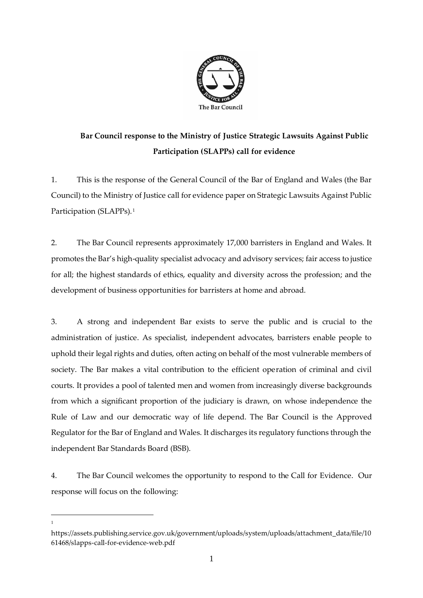

# **Bar Council response to the Ministry of Justice Strategic Lawsuits Against Public Participation (SLAPPs) call for evidence**

1. This is the response of the General Council of the Bar of England and Wales (the Bar Council) to the Ministry of Justice call for evidence paper on Strategic Lawsuits Against Public Participation (SLAPPs). <sup>1</sup>

2. The Bar Council represents approximately 17,000 barristers in England and Wales. It promotes the Bar's high-quality specialist advocacy and advisory services; fair access to justice for all; the highest standards of ethics, equality and diversity across the profession; and the development of business opportunities for barristers at home and abroad.

3. A strong and independent Bar exists to serve the public and is crucial to the administration of justice. As specialist, independent advocates, barristers enable people to uphold their legal rights and duties, often acting on behalf of the most vulnerable members of society. The Bar makes a vital contribution to the efficient operation of criminal and civil courts. It provides a pool of talented men and women from increasingly diverse backgrounds from which a significant proportion of the judiciary is drawn, on whose independence the Rule of Law and our democratic way of life depend. The Bar Council is the Approved Regulator for the Bar of England and Wales. It discharges its regulatory functions through the independent Bar Standards Board (BSB).

4. The Bar Council welcomes the opportunity to respond to the Call for Evidence. Our response will focus on the following:

1

https://assets.publishing.service.gov.uk/government/uploads/system/uploads/attachment\_data/file/10 61468/slapps-call-for-evidence-web.pdf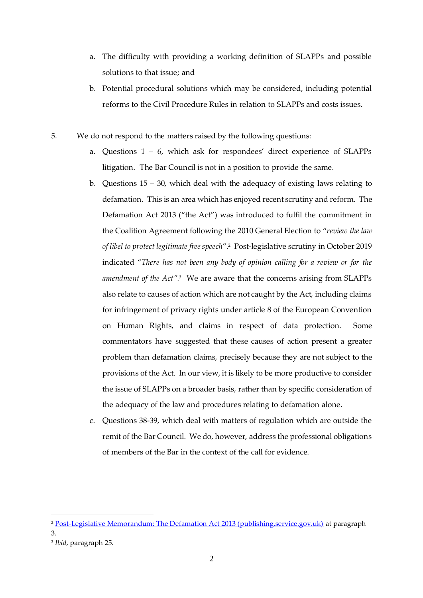- a. The difficulty with providing a working definition of SLAPPs and possible solutions to that issue; and
- b. Potential procedural solutions which may be considered, including potential reforms to the Civil Procedure Rules in relation to SLAPPs and costs issues.
- 5. We do not respond to the matters raised by the following questions:
	- a. Questions 1 6, which ask for respondees' direct experience of SLAPPs litigation. The Bar Council is not in a position to provide the same.
	- b. Questions 15 30, which deal with the adequacy of existing laws relating to defamation. This is an area which has enjoyed recent scrutiny and reform. The Defamation Act 2013 ("the Act") was introduced to fulfil the commitment in the Coalition Agreement following the 2010 General Election to "*review the law of libel to protect legitimate free speech*".<sup>2</sup> Post-legislative scrutiny in October 2019 indicated "*There has not been any body of opinion calling for a review or for the amendment of the Act".<sup>3</sup>* We are aware that the concerns arising from SLAPPs also relate to causes of action which are not caught by the Act, including claims for infringement of privacy rights under article 8 of the European Convention on Human Rights, and claims in respect of data protection. Some commentators have suggested that these causes of action present a greater problem than defamation claims, precisely because they are not subject to the provisions of the Act. In our view, it is likely to be more productive to consider the issue of SLAPPs on a broader basis, rather than by specific consideration of the adequacy of the law and procedures relating to defamation alone.
	- c. Questions 38-39, which deal with matters of regulation which are outside the remit of the Bar Council. We do, however, address the professional obligations of members of the Bar in the context of the call for evidence.

<sup>&</sup>lt;sup>2</sup> [Post-Legislative Memorandum: The Defamation Act 2013 \(publishing.service.gov.uk\)](https://assets.publishing.service.gov.uk/government/uploads/system/uploads/attachment_data/file/838398/post-legislative-memorandum-defamation-act-2013.PDF) at paragraph 3.

<sup>3</sup> *Ibid*, paragraph 25.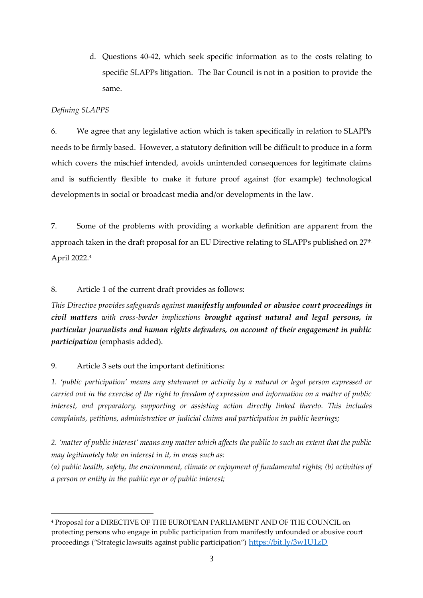d. Questions 40-42, which seek specific information as to the costs relating to specific SLAPPs litigation. The Bar Council is not in a position to provide the same.

# *Defining SLAPPS*

6. We agree that any legislative action which is taken specifically in relation to SLAPPs needs to be firmly based. However, a statutory definition will be difficult to produce in a form which covers the mischief intended, avoids unintended consequences for legitimate claims and is sufficiently flexible to make it future proof against (for example) technological developments in social or broadcast media and/or developments in the law.

7. Some of the problems with providing a workable definition are apparent from the approach taken in the draft proposal for an EU Directive relating to SLAPPs published on 27<sup>th</sup> April 2022. 4

8. Article 1 of the current draft provides as follows:

*This Directive provides safeguards against manifestly unfounded or abusive court proceedings in civil matters with cross-border implications brought against natural and legal persons, in particular journalists and human rights defenders, on account of their engagement in public participation* (emphasis added).

9. Article 3 sets out the important definitions:

*1. 'public participation' means any statement or activity by a natural or legal person expressed or carried out in the exercise of the right to freedom of expression and information on a matter of public interest, and preparatory, supporting or assisting action directly linked thereto. This includes complaints, petitions, administrative or judicial claims and participation in public hearings;* 

*2. 'matter of public interest' means any matter which affects the public to such an extent that the public may legitimately take an interest in it, in areas such as:* 

*(a) public health, safety, the environment, climate or enjoyment of fundamental rights; (b) activities of a person or entity in the public eye or of public interest;* 

<sup>4</sup> Proposal for a DIRECTIVE OF THE EUROPEAN PARLIAMENT AND OF THE COUNCIL on protecting persons who engage in public participation from manifestly unfounded or abusive court proceedings ("Strategic lawsuits against public participation") <https://bit.ly/3w1U1zD>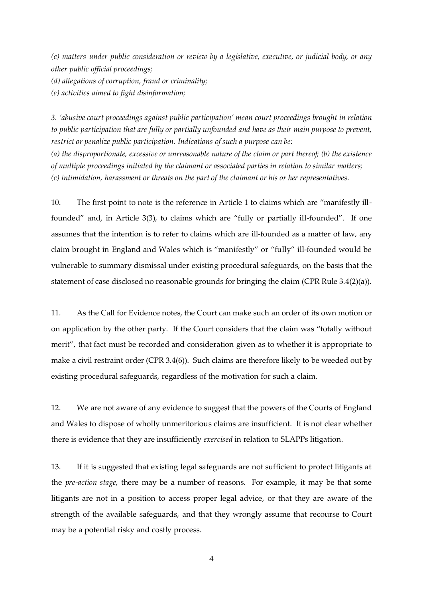*(c) matters under public consideration or review by a legislative, executive, or judicial body, or any other public official proceedings; (d) allegations of corruption, fraud or criminality; (e) activities aimed to fight disinformation;* 

*3. 'abusive court proceedings against public participation' mean court proceedings brought in relation to public participation that are fully or partially unfounded and have as their main purpose to prevent, restrict or penalize public participation. Indications of such a purpose can be: (a) the disproportionate, excessive or unreasonable nature of the claim or part thereof; (b) the existence of multiple proceedings initiated by the claimant or associated parties in relation to similar matters; (c) intimidation, harassment or threats on the part of the claimant or his or her representatives.*

10. The first point to note is the reference in Article 1 to claims which are "manifestly illfounded" and, in Article 3(3), to claims which are "fully or partially ill-founded". If one assumes that the intention is to refer to claims which are ill-founded as a matter of law, any claim brought in England and Wales which is "manifestly" or "fully" ill-founded would be vulnerable to summary dismissal under existing procedural safeguards, on the basis that the statement of case disclosed no reasonable grounds for bringing the claim (CPR Rule 3.4(2)(a)).

11. As the Call for Evidence notes, the Court can make such an order of its own motion or on application by the other party. If the Court considers that the claim was "totally without merit", that fact must be recorded and consideration given as to whether it is appropriate to make a civil restraint order (CPR 3.4(6)). Such claims are therefore likely to be weeded out by existing procedural safeguards, regardless of the motivation for such a claim.

12. We are not aware of any evidence to suggest that the powers of the Courts of England and Wales to dispose of wholly unmeritorious claims are insufficient. It is not clear whether there is evidence that they are insufficiently *exercised* in relation to SLAPPs litigation.

13. If it is suggested that existing legal safeguards are not sufficient to protect litigants at the *pre-action stage*, there may be a number of reasons. For example, it may be that some litigants are not in a position to access proper legal advice, or that they are aware of the strength of the available safeguards, and that they wrongly assume that recourse to Court may be a potential risky and costly process.

4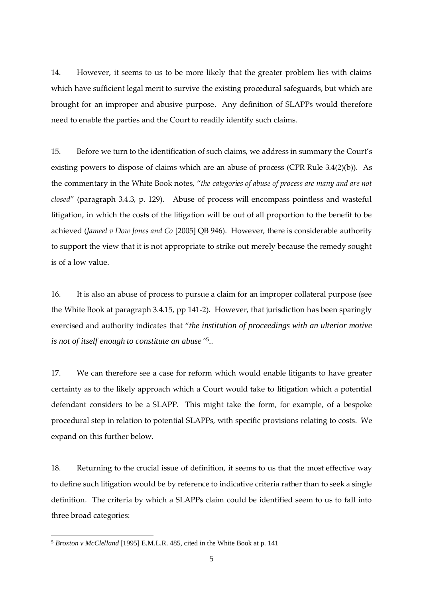14. However, it seems to us to be more likely that the greater problem lies with claims which have sufficient legal merit to survive the existing procedural safeguards, but which are brought for an improper and abusive purpose. Any definition of SLAPPs would therefore need to enable the parties and the Court to readily identify such claims.

15. Before we turn to the identification of such claims, we address in summary the Court's existing powers to dispose of claims which are an abuse of process (CPR Rule 3.4(2)(b)). As the commentary in the White Book notes, "*the categories of abuse of process are many and are not closed*" (paragraph 3.4.3, p. 129). Abuse of process will encompass pointless and wasteful litigation, in which the costs of the litigation will be out of all proportion to the benefit to be achieved (*Jameel v Dow Jones and Co* [2005] QB 946). However, there is considerable authority to support the view that it is not appropriate to strike out merely because the remedy sought is of a low value.

16. It is also an abuse of process to pursue a claim for an improper collateral purpose (see the White Book at paragraph 3.4.15, pp 141-2). However, that jurisdiction has been sparingly exercised and authority indicates that "*the institution of proceedings with an ulterior motive is not of itself enough to constitute an abuse"* 5 ..

17. We can therefore see a case for reform which would enable litigants to have greater certainty as to the likely approach which a Court would take to litigation which a potential defendant considers to be a SLAPP. This might take the form, for example, of a bespoke procedural step in relation to potential SLAPPs, with specific provisions relating to costs. We expand on this further below.

18. Returning to the crucial issue of definition, it seems to us that the most effective way to define such litigation would be by reference to indicative criteria rather than to seek a single definition. The criteria by which a SLAPPs claim could be identified seem to us to fall into three broad categories:

<sup>5</sup> *Broxton v McClelland* [1995] E.M.L.R. 485, cited in the White Book at p. 141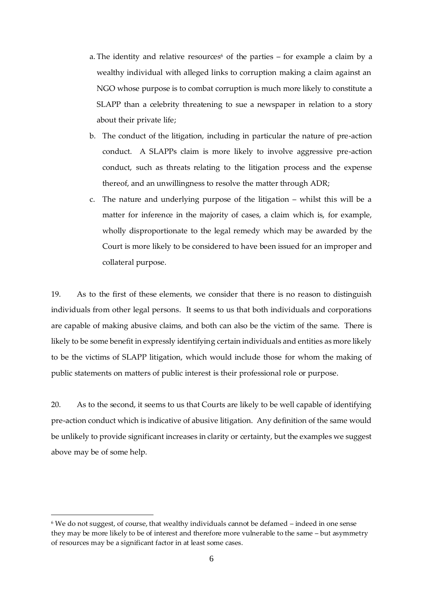- a. The identity and relative resources<sup> $6$ </sup> of the parties for example a claim by a wealthy individual with alleged links to corruption making a claim against an NGO whose purpose is to combat corruption is much more likely to constitute a SLAPP than a celebrity threatening to sue a newspaper in relation to a story about their private life;
- b. The conduct of the litigation, including in particular the nature of pre-action conduct. A SLAPPs claim is more likely to involve aggressive pre-action conduct, such as threats relating to the litigation process and the expense thereof, and an unwillingness to resolve the matter through ADR;
- c. The nature and underlying purpose of the litigation whilst this will be a matter for inference in the majority of cases, a claim which is, for example, wholly disproportionate to the legal remedy which may be awarded by the Court is more likely to be considered to have been issued for an improper and collateral purpose.

19. As to the first of these elements, we consider that there is no reason to distinguish individuals from other legal persons. It seems to us that both individuals and corporations are capable of making abusive claims, and both can also be the victim of the same. There is likely to be some benefit in expressly identifying certain individuals and entities as more likely to be the victims of SLAPP litigation, which would include those for whom the making of public statements on matters of public interest is their professional role or purpose.

20. As to the second, it seems to us that Courts are likely to be well capable of identifying pre-action conduct which is indicative of abusive litigation. Any definition of the same would be unlikely to provide significant increases in clarity or certainty, but the examples we suggest above may be of some help.

<sup>6</sup> We do not suggest, of course, that wealthy individuals cannot be defamed – indeed in one sense they may be more likely to be of interest and therefore more vulnerable to the same – but asymmetry of resources may be a significant factor in at least some cases.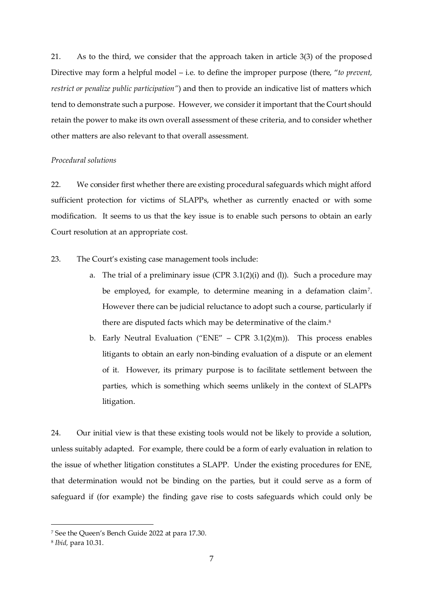21. As to the third, we consider that the approach taken in article 3(3) of the proposed Directive may form a helpful model – i.e. to define the improper purpose (there, "*to prevent, restrict or penalize public participation"*) and then to provide an indicative list of matters which tend to demonstrate such a purpose. However, we consider it important that the Court should retain the power to make its own overall assessment of these criteria, and to consider whether other matters are also relevant to that overall assessment.

#### *Procedural solutions*

22. We consider first whether there are existing procedural safeguards which might afford sufficient protection for victims of SLAPPs, whether as currently enacted or with some modification. It seems to us that the key issue is to enable such persons to obtain an early Court resolution at an appropriate cost.

- 23. The Court's existing case management tools include:
	- a. The trial of a preliminary issue (CPR 3.1(2)(i) and (l)). Such a procedure may be employed, for example, to determine meaning in a defamation claim<sup>7</sup>. However there can be judicial reluctance to adopt such a course, particularly if there are disputed facts which may be determinative of the claim. 8
	- b. Early Neutral Evaluation ("ENE" CPR  $3.1(2)(m)$ ). This process enables litigants to obtain an early non-binding evaluation of a dispute or an element of it. However, its primary purpose is to facilitate settlement between the parties, which is something which seems unlikely in the context of SLAPPs litigation.

24. Our initial view is that these existing tools would not be likely to provide a solution, unless suitably adapted. For example, there could be a form of early evaluation in relation to the issue of whether litigation constitutes a SLAPP. Under the existing procedures for ENE, that determination would not be binding on the parties, but it could serve as a form of safeguard if (for example) the finding gave rise to costs safeguards which could only be

<sup>7</sup> See the Queen's Bench Guide 2022 at para 17.30.

<sup>8</sup> *Ibid,* para 10.31.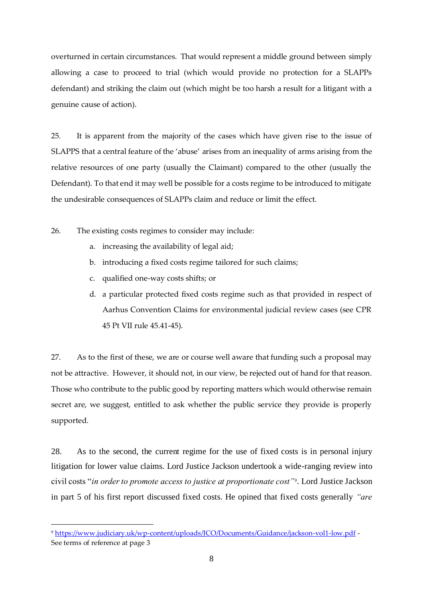overturned in certain circumstances. That would represent a middle ground between simply allowing a case to proceed to trial (which would provide no protection for a SLAPPs defendant) and striking the claim out (which might be too harsh a result for a litigant with a genuine cause of action).

25. It is apparent from the majority of the cases which have given rise to the issue of SLAPPS that a central feature of the 'abuse' arises from an inequality of arms arising from the relative resources of one party (usually the Claimant) compared to the other (usually the Defendant). To that end it may well be possible for a costs regime to be introduced to mitigate the undesirable consequences of SLAPPs claim and reduce or limit the effect.

26. The existing costs regimes to consider may include:

- a. increasing the availability of legal aid;
- b. introducing a fixed costs regime tailored for such claims;
- c. qualified one-way costs shifts; or
- d. a particular protected fixed costs regime such as that provided in respect of Aarhus Convention Claims for environmental judicial review cases (see CPR 45 Pt VII rule 45.41-45).

27. As to the first of these, we are or course well aware that funding such a proposal may not be attractive. However, it should not, in our view, be rejected out of hand for that reason. Those who contribute to the public good by reporting matters which would otherwise remain secret are, we suggest, entitled to ask whether the public service they provide is properly supported.

28. As to the second, the current regime for the use of fixed costs is in personal injury litigation for lower value claims. Lord Justice Jackson undertook a wide-ranging review into civil costs "*in order to promote access to justice at proportionate cost"<sup>9</sup> .* Lord Justice Jackson in part 5 of his first report discussed fixed costs. He opined that fixed costs generally *"are* 

<sup>9</sup> <https://www.judiciary.uk/wp-content/uploads/JCO/Documents/Guidance/jackson-vol1-low.pdf> - See terms of reference at page 3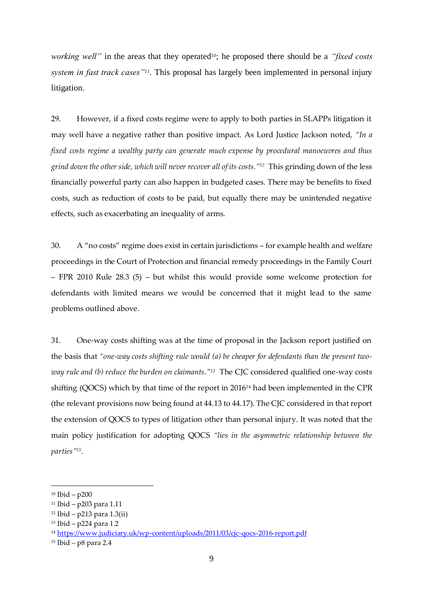*working well*" in the areas that they operated<sup>10</sup>; he proposed there should be a *"fixed costs system in fast track cases"<sup>11</sup> .* This proposal has largely been implemented in personal injury litigation.

29. However, if a fixed costs regime were to apply to both parties in SLAPPs litigation it may well have a negative rather than positive impact. As Lord Justice Jackson noted, *"In a fixed costs regime a wealthy party can generate much expense by procedural manoeuvres and thus grind down the other side, which will never recover all of its costs."<sup>12</sup>* This grinding down of the less financially powerful party can also happen in budgeted cases. There may be benefits to fixed costs, such as reduction of costs to be paid, but equally there may be unintended negative effects, such as exacerbating an inequality of arms.

30. A "no costs" regime does exist in certain jurisdictions – for example health and welfare proceedings in the Court of Protection and financial remedy proceedings in the Family Court – FPR 2010 Rule 28.3 (5) – but whilst this would provide some welcome protection for defendants with limited means we would be concerned that it might lead to the same problems outlined above.

31. One-way costs shifting was at the time of proposal in the Jackson report justified on the basis that *"one-way costs shifting rule would (a) be cheaper for defendants than the present twoway rule and (b) reduce the burden on claimants."<sup>13</sup>* The CJC considered qualified one-way costs shifting (QOCS) which by that time of the report in 2016<sup>14</sup> had been implemented in the CPR (the relevant provisions now being found at 44.13 to 44.17). The CJC considered in that report the extension of QOCS to types of litigation other than personal injury. It was noted that the main policy justification for adopting QOCS *"lies in the asymmetric relationship between the parties"<sup>15</sup> .*

 $10$  Ibid – p200

<sup>11</sup> Ibid – p203 para 1.11

<sup>12</sup> Ibid – p213 para 1.3(ii)

<sup>13</sup> Ibid – p224 para 1.2

<sup>14</sup> <https://www.judiciary.uk/wp-content/uploads/2011/03/cjc-qocs-2016-report.pdf>

<sup>15</sup> Ibid – p8 para 2.4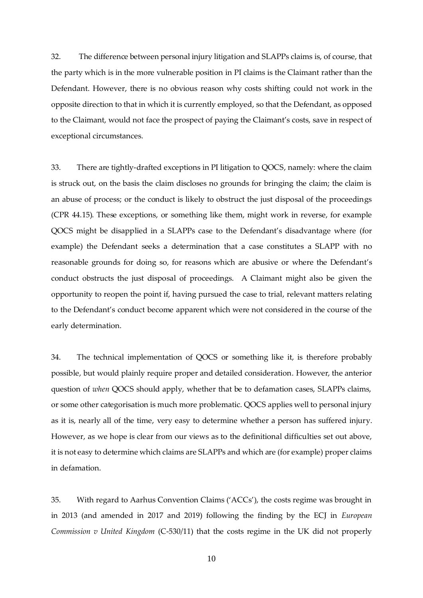32. The difference between personal injury litigation and SLAPPs claims is, of course, that the party which is in the more vulnerable position in PI claims is the Claimant rather than the Defendant. However, there is no obvious reason why costs shifting could not work in the opposite direction to that in which it is currently employed, so that the Defendant, as opposed to the Claimant, would not face the prospect of paying the Claimant's costs, save in respect of exceptional circumstances.

33. There are tightly-drafted exceptions in PI litigation to QOCS, namely: where the claim is struck out, on the basis the claim discloses no grounds for bringing the claim; the claim is an abuse of process; or the conduct is likely to obstruct the just disposal of the proceedings (CPR 44.15). These exceptions, or something like them, might work in reverse, for example QOCS might be disapplied in a SLAPPs case to the Defendant's disadvantage where (for example) the Defendant seeks a determination that a case constitutes a SLAPP with no reasonable grounds for doing so, for reasons which are abusive or where the Defendant's conduct obstructs the just disposal of proceedings. A Claimant might also be given the opportunity to reopen the point if, having pursued the case to trial, relevant matters relating to the Defendant's conduct become apparent which were not considered in the course of the early determination.

34. The technical implementation of QOCS or something like it, is therefore probably possible, but would plainly require proper and detailed consideration. However, the anterior question of *when* QOCS should apply, whether that be to defamation cases, SLAPPs claims, or some other categorisation is much more problematic. QOCS applies well to personal injury as it is, nearly all of the time, very easy to determine whether a person has suffered injury. However, as we hope is clear from our views as to the definitional difficulties set out above, it is not easy to determine which claims are SLAPPs and which are (for example) proper claims in defamation.

35. With regard to Aarhus Convention Claims ('ACCs'), the costs regime was brought in in 2013 (and amended in 2017 and 2019) following the finding by the ECJ in *European Commission v United Kingdom* (C-530/11) that the costs regime in the UK did not properly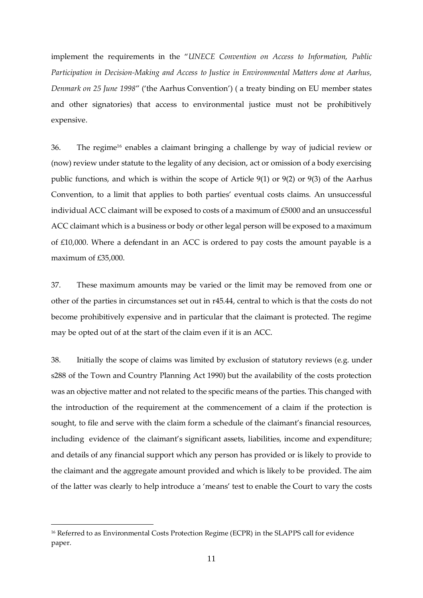implement the requirements in the "*UNECE Convention on Access to Information, Public Participation in Decision-Making and Access to Justice in Environmental Matters done at Aarhus, Denmark on 25 June 1998*" ('the Aarhus Convention') ( a treaty binding on EU member states and other signatories) that access to environmental justice must not be prohibitively expensive.

36. The regime<sup>16</sup> enables a claimant bringing a challenge by way of judicial review or (now) review under statute to the legality of any decision, act or omission of a body exercising public functions, and which is within the scope of Article 9(1) or 9(2) or 9(3) of the Aarhus Convention, to a limit that applies to both parties' eventual costs claims. An unsuccessful individual ACC claimant will be exposed to costs of a maximum of £5000 and an unsuccessful ACC claimant which is a business or body or other legal person will be exposed to a maximum of £10,000. Where a defendant in an ACC is ordered to pay costs the amount payable is a maximum of £35,000.

37. These maximum amounts may be varied or the limit may be removed from one or other of the parties in circumstances set out in r45.44, central to which is that the costs do not become prohibitively expensive and in particular that the claimant is protected. The regime may be opted out of at the start of the claim even if it is an ACC.

38. Initially the scope of claims was limited by exclusion of statutory reviews (e.g. under s288 of the Town and Country Planning Act 1990) but the availability of the costs protection was an objective matter and not related to the specific means of the parties. This changed with the introduction of the requirement at the commencement of a claim if the protection is sought, to file and serve with the claim form a schedule of the claimant's financial resources, including evidence of the claimant's significant assets, liabilities, income and expenditure; and details of any financial support which any person has provided or is likely to provide to the claimant and the aggregate amount provided and which is likely to be provided. The aim of the latter was clearly to help introduce a 'means' test to enable the Court to vary the costs

<sup>&</sup>lt;sup>16</sup> Referred to as Environmental Costs Protection Regime (ECPR) in the SLAPPS call for evidence paper.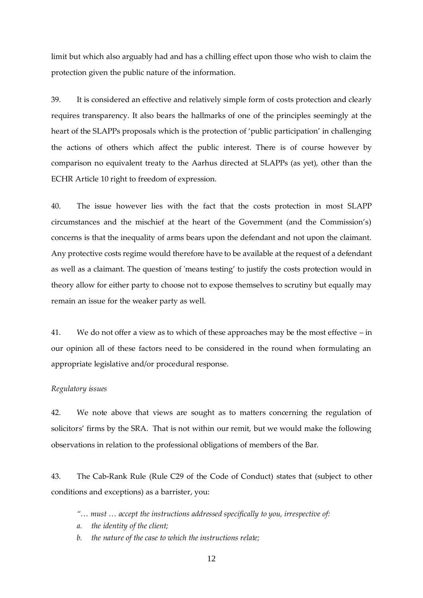limit but which also arguably had and has a chilling effect upon those who wish to claim the protection given the public nature of the information.

39. It is considered an effective and relatively simple form of costs protection and clearly requires transparency. It also bears the hallmarks of one of the principles seemingly at the heart of the SLAPPs proposals which is the protection of 'public participation' in challenging the actions of others which affect the public interest. There is of course however by comparison no equivalent treaty to the Aarhus directed at SLAPPs (as yet), other than the ECHR Article 10 right to freedom of expression.

40. The issue however lies with the fact that the costs protection in most SLAPP circumstances and the mischief at the heart of the Government (and the Commission's) concerns is that the inequality of arms bears upon the defendant and not upon the claimant. Any protective costs regime would therefore have to be available at the request of a defendant as well as a claimant. The question of 'means testing' to justify the costs protection would in theory allow for either party to choose not to expose themselves to scrutiny but equally may remain an issue for the weaker party as well.

41. We do not offer a view as to which of these approaches may be the most effective – in our opinion all of these factors need to be considered in the round when formulating an appropriate legislative and/or procedural response.

#### *Regulatory issues*

42. We note above that views are sought as to matters concerning the regulation of solicitors' firms by the SRA. That is not within our remit, but we would make the following observations in relation to the professional obligations of members of the Bar.

43. The Cab-Rank Rule (Rule C29 of the Code of Conduct) states that (subject to other conditions and exceptions) as a barrister, you:

- *"… must … accept the instructions addressed specifically to you, irrespective of:*
- *a. the identity of the client;*
- *b. the nature of the case to which the instructions relate;*
	- 12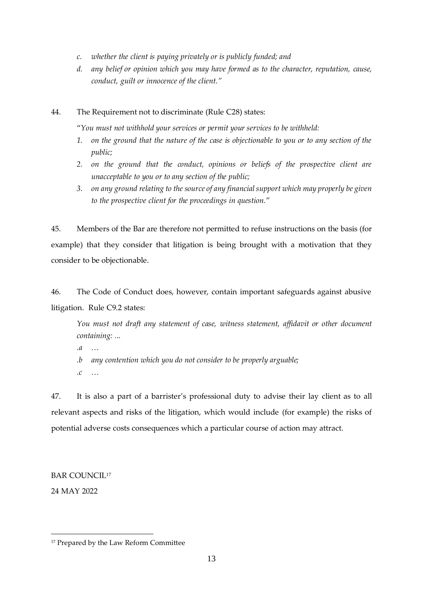- *c. whether the client is paying privately or is publicly funded; and*
- *d. any belief or opinion which you may have formed as to the character, reputation, cause, conduct, guilt or innocence of the client."*

### 44. The Requirement not to discriminate (Rule C28) states:

"*You must not withhold your services or permit your services to be withheld:*

- *1. on the ground that the nature of the case is objectionable to you or to any section of the public;*
- *2. on the ground that the conduct, opinions or beliefs of the prospective client are unacceptable to you or to any section of the public;*
- *3. on any ground relating to the source of any financial support which may properly be given to the prospective client for the proceedings in question.*"

45. Members of the Bar are therefore not permitted to refuse instructions on the basis (for example) that they consider that litigation is being brought with a motivation that they consider to be objectionable.

46. The Code of Conduct does, however, contain important safeguards against abusive litigation. Rule C9.2 states:

*You must not draft any statement of case, witness statement, affidavit or other document containing: ...*

*.a … .b any contention which you do not consider to be properly arguable; .c …*

47. It is also a part of a barrister's professional duty to advise their lay client as to all relevant aspects and risks of the litigation, which would include (for example) the risks of potential adverse costs consequences which a particular course of action may attract.

## BAR COUNCIL<sup>17</sup>

24 MAY 2022

<sup>&</sup>lt;sup>17</sup> Prepared by the Law Reform Committee